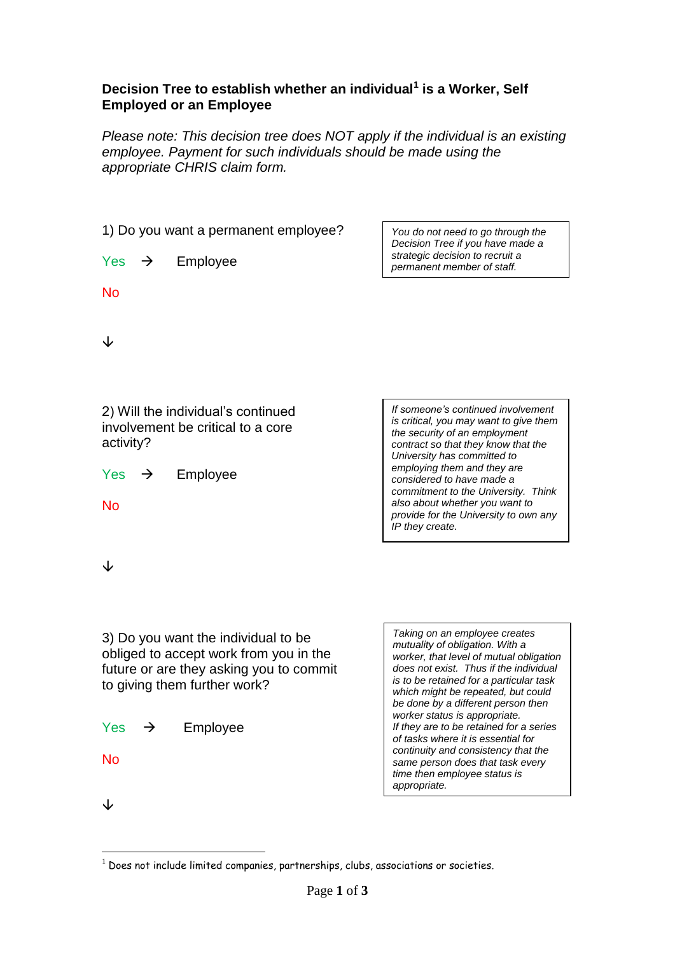## **Decision Tree to establish whether an individual<sup>1</sup> is a Worker, Self Employed or an Employee**

*Please note: This decision tree does NOT apply if the individual is an existing employee. Payment for such individuals should be made using the appropriate CHRIS claim form.*

| 1) Do you want a permanent employee?                                                                                                                     | You do not need to go through the<br>Decision Tree if you have made a                                                                                                                                                                                                                                         |
|----------------------------------------------------------------------------------------------------------------------------------------------------------|---------------------------------------------------------------------------------------------------------------------------------------------------------------------------------------------------------------------------------------------------------------------------------------------------------------|
| Yes<br>Employee<br>$\rightarrow$                                                                                                                         | strategic decision to recruit a<br>permanent member of staff.                                                                                                                                                                                                                                                 |
| <b>No</b>                                                                                                                                                |                                                                                                                                                                                                                                                                                                               |
| ↓                                                                                                                                                        |                                                                                                                                                                                                                                                                                                               |
| 2) Will the individual's continued<br>involvement be critical to a core<br>activity?                                                                     | If someone's continued involvement<br>is critical, you may want to give them<br>the security of an employment<br>contract so that they know that the                                                                                                                                                          |
| Employee<br>Yes<br>$\rightarrow$                                                                                                                         | University has committed to<br>employing them and they are<br>considered to have made a<br>commitment to the University. Think                                                                                                                                                                                |
| No                                                                                                                                                       | also about whether you want to<br>provide for the University to own any<br>IP they create.                                                                                                                                                                                                                    |
| ↓                                                                                                                                                        |                                                                                                                                                                                                                                                                                                               |
|                                                                                                                                                          |                                                                                                                                                                                                                                                                                                               |
| 3) Do you want the individual to be<br>obliged to accept work from you in the<br>future or are they asking you to commit<br>to giving them further work? | Taking on an employee creates<br>mutuality of obligation. With a<br>worker, that level of mutual obligation<br>does not exist. Thus if the individual<br>is to be retained for a particular task<br>which might be repeated, but could<br>be done by a different person then<br>worker status is appropriate. |
| <b>Yes</b><br>Employee<br>$\rightarrow$<br><b>No</b>                                                                                                     | If they are to be retained for a series<br>of tasks where it is essential for<br>continuity and consistency that the<br>same person does that task every                                                                                                                                                      |
|                                                                                                                                                          | time then employee status is<br>appropriate.                                                                                                                                                                                                                                                                  |

 $\downarrow$ 

1

 $1$  Does not include limited companies, partnerships, clubs, associations or societies.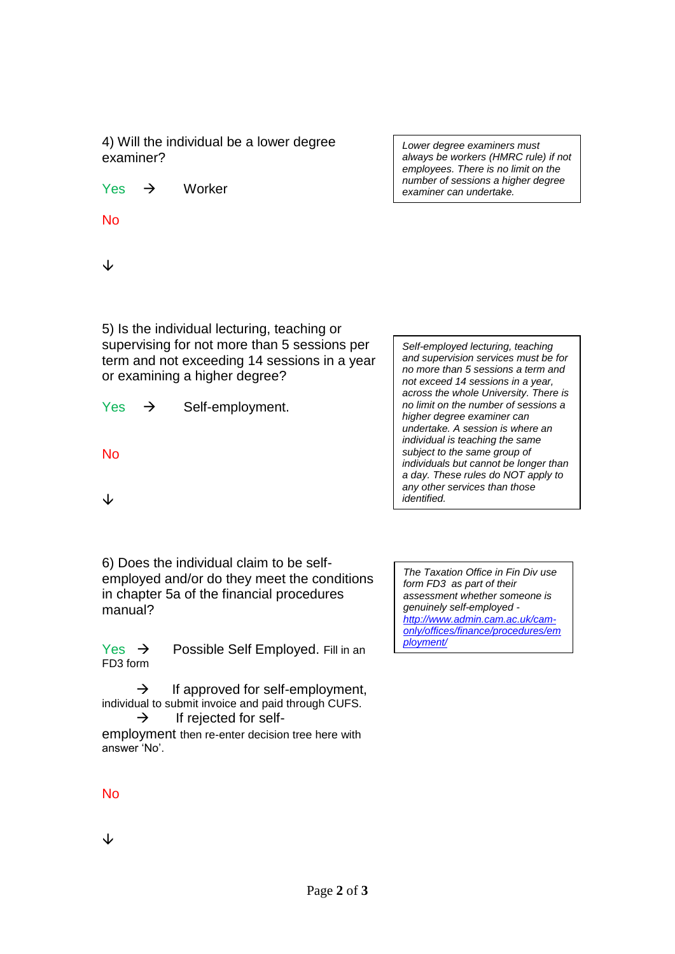4) Will the individual be a lower degree examiner?

 $Yes \rightarrow$  Worker

No

↓

5) Is the individual lecturing, teaching or supervising for not more than 5 sessions per term and not exceeding 14 sessions in a year or examining a higher degree?

 $Yes$   $\rightarrow$  Self-employment.

No

↓

*and supervision services must be for no more than 5 sessions a term and not exceed 14 sessions in a year, across the whole University. There is no limit on the number of sessions a higher degree examiner can undertake. A session is where an individual is teaching the same subject to the same group of individuals but cannot be longer than a day. These rules do NOT apply to any other services than those identified.*

*Self-employed lecturing, teaching* 

6) Does the individual claim to be selfemployed and/or do they meet the conditions in chapter 5a of the financial procedures manual?

Yes  $\rightarrow$  Possible Self Employed. Fill in an FD3 form

 $\rightarrow$  If approved for self-employment, individual to submit invoice and paid through CUFS.

 $\rightarrow$  If rejected for selfemployment then re-enter decision tree here with answer 'No'.

*The Taxation Office in Fin Div use form FD3 as part of their assessment whether someone is genuinely self-employed [http://www.admin.cam.ac.uk/cam](http://www.admin.cam.ac.uk/cam-only/offices/finance/procedures/employment/)[only/offices/finance/procedures/em](http://www.admin.cam.ac.uk/cam-only/offices/finance/procedures/employment/) [ployment/](http://www.admin.cam.ac.uk/cam-only/offices/finance/procedures/employment/)*

No

↓

*Lower degree examiners must always be workers (HMRC rule) if not employees. There is no limit on the number of sessions a higher degree examiner can undertake.*